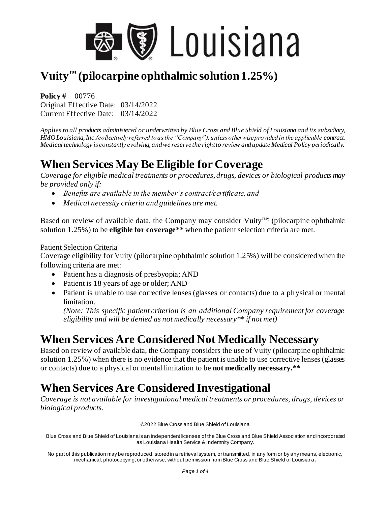

# **Vuity™ (pilocarpine ophthalmic solution 1.25%)**

**Policy #** 00776 Original Effective Date: 03/14/2022 Current Effective Date: 03/14/2022

*Applies to all products administered or underwritten by Blue Cross and Blue Shield of Louisiana and its subsidiary, HMO Louisiana, Inc.(collectively referred to as the "Company"), unless otherwise provided in the applicable contract. Medical technology is constantly evolving, and we reserve the right to review and update Medical Policy periodically.*

## **When Services May Be Eligible for Coverage**

*Coverage for eligible medical treatments or procedures, drugs, devices or biological products may be provided only if:*

- *Benefits are available in the member's contract/certificate, and*
- *Medical necessity criteria and guidelines are met.*

Based on review of available data, the Company may consider Vuity™‡ (pilocarpine ophthalmic solution 1.25%) to be **eligible for coverage\*\*** when the patient selection criteria are met.

#### Patient Selection Criteria

Coverage eligibility for Vuity (pilocarpine ophthalmic solution 1.25%) will be considered when the following criteria are met:

- Patient has a diagnosis of presbyopia; AND
- Patient is 18 years of age or older; AND
- Patient is unable to use corrective lenses (glasses or contacts) due to a physical or mental limitation.

*(Note: This specific patient criterion is an additional Company requirement for coverage eligibility and will be denied as not medically necessary\*\* if not met)*

## **When Services Are Considered Not Medically Necessary**

Based on review of available data, the Company considers the use of Vuity (pilocarpine ophthalmic solution 1.25%) when there is no evidence that the patient is unable to use corrective lenses (glasses or contacts) due to a physical or mental limitation to be **not medically necessary.\*\***

## **When Services Are Considered Investigational**

*Coverage is not available for investigational medical treatments or procedures, drugs, devices or biological products.*

©2022 Blue Cross and Blue Shield of Louisiana

Blue Cross and Blue Shield of Louisiana is an independent licensee of the Blue Cross and Blue Shield Association and incorporated as Louisiana Health Service & Indemnity Company.

No part of this publication may be reproduced, stored in a retrieval system, or transmitted, in any form or by any means, electronic, mechanical, photocopying, or otherwise, without permission from Blue Cross and Blue Shield of Louisiana **.**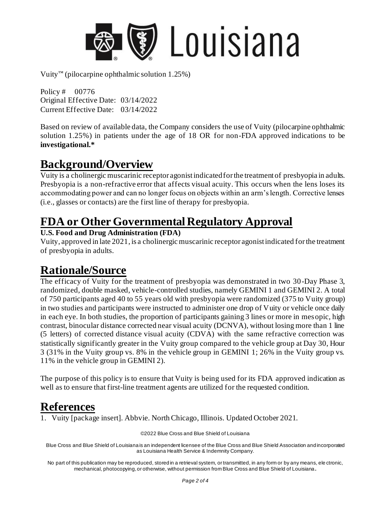

Vuity™ (pilocarpine ophthalmic solution  $1.25\%$ )

Policy # 00776 Original Effective Date: 03/14/2022 Current Effective Date: 03/14/2022

Based on review of available data, the Company considers the use of Vuity (pilocarpine ophthalmic solution 1.25%) in patients under the age of 18 OR for non-FDA approved indications to be **investigational.\***

#### **Background/Overview**

Vuity is a cholinergic muscarinic receptor agonist indicated for the treatment of presbyopia in adults. Presbyopia is a non-refractive error that affects visual acuity. This occurs when the lens loses its accommodating power and can no longer focus on objects within an arm's length. Corrective lenses (i.e., glasses or contacts) are the first line of therapy for presbyopia.

## **FDA or Other Governmental Regulatory Approval**

#### **U.S. Food and Drug Administration (FDA)**

Vuity, approved in late 2021, is a cholinergic muscarinic receptor agonist indicated for the treatment of presbyopia in adults.

## **Rationale/Source**

The efficacy of Vuity for the treatment of presbyopia was demonstrated in two 30-Day Phase 3, randomized, double masked, vehicle-controlled studies, namely GEMINI 1 and GEMINI 2. A total of 750 participants aged 40 to 55 years old with presbyopia were randomized (375 to Vuity group) in two studies and participants were instructed to administer one drop of Vuity or vehicle once daily in each eye. In both studies, the proportion of participants gaining 3 lines or more in mesopic, high contrast, binocular distance corrected near visual acuity (DCNVA), without losing more than 1 line (5 letters) of corrected distance visual acuity (CDVA) with the same refractive correction was statistically significantly greater in the Vuity group compared to the vehicle group at Day 30, Hour 3 (31% in the Vuity group vs. 8% in the vehicle group in GEMINI 1; 26% in the Vuity group vs. 11% in the vehicle group in GEMINI 2).

The purpose of this policy is to ensure that Vuity is being used for its FDA approved indication as well as to ensure that first-line treatment agents are utilized for the requested condition.

#### **References**

1. Vuity [package insert]. Abbvie. North Chicago, Illinois. Updated October 2021.

©2022 Blue Cross and Blue Shield of Louisiana

Blue Cross and Blue Shield of Louisiana is an independent licensee of the Blue Cross and Blue Shield Association and incorporated as Louisiana Health Service & Indemnity Company.

No part of this publication may be reproduced, stored in a retrieval system, or transmitted, in any form or by any means, ele ctronic, mechanical, photocopying, or otherwise, without permission from Blue Cross and Blue Shield of Louisiana**.**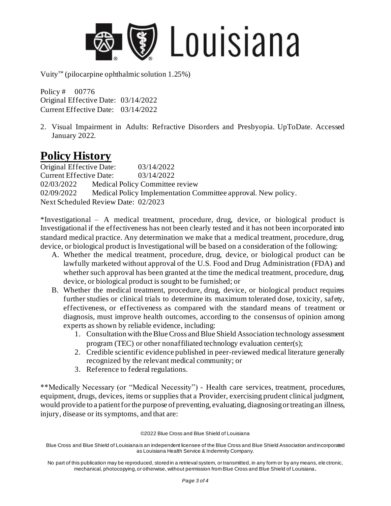

Vuity™ (pilocarpine ophthalmic solution  $1.25\%$ )

Policy # 00776 Original Effective Date: 03/14/2022 Current Effective Date: 03/14/2022

2. Visual Impairment in Adults: Refractive Disorders and Presbyopia. UpToDate. Accessed January 2022.

#### **Policy History**

Original Effective Date: 03/14/2022 Current Effective Date: 03/14/2022 02/03/2022 Medical Policy Committee review 02/09/2022 Medical Policy Implementation Committee approval. New policy. Next Scheduled Review Date: 02/2023

\*Investigational – A medical treatment, procedure, drug, device, or biological product is Investigational if the effectiveness has not been clearly tested and it has not been incorporated into standard medical practice. Any determination we make that a medical treatment, procedure, drug, device, or biological product is Investigational will be based on a consideration of the following:

- A. Whether the medical treatment, procedure, drug, device, or biological product can be lawfully marketed without approval of the U.S. Food and Drug Administration (FDA) and whether such approval has been granted at the time the medical treatment, procedure, drug, device, or biological product is sought to be furnished; or
- B. Whether the medical treatment, procedure, drug, device, or biological product requires further studies or clinical trials to determine its maximum tolerated dose, toxicity, safety, effectiveness, or effectiveness as compared with the standard means of treatment or diagnosis, must improve health outcomes, according to the consensus of opinion among experts as shown by reliable evidence, including:
	- 1. Consultation with the Blue Cross and Blue Shield Association technology assessment program (TEC) or other nonaffiliated technology evaluation center(s);
	- 2. Credible scientific evidence published in peer-reviewed medical literature generally recognized by the relevant medical community; or
	- 3. Reference to federal regulations.

\*\*Medically Necessary (or "Medical Necessity") - Health care services, treatment, procedures, equipment, drugs, devices, items or supplies that a Provider, exercising prudent clinical judgment, would provide to a patient for the purpose of preventing, evaluating, diagnosing or treating an illness, injury, disease or its symptoms, and that are:

©2022 Blue Cross and Blue Shield of Louisiana

Blue Cross and Blue Shield of Louisiana is an independent licensee of the Blue Cross and Blue Shield Association and incorporated as Louisiana Health Service & Indemnity Company.

No part of this publication may be reproduced, stored in a retrieval system, or transmitted, in any form or by any means, ele ctronic, mechanical, photocopying, or otherwise, without permission from Blue Cross and Blue Shield of Louisiana**.**